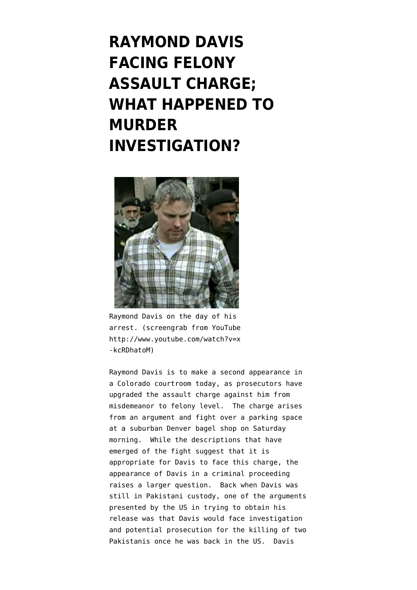## **[RAYMOND DAVIS](https://www.emptywheel.net/2011/10/04/raymond-davis-facing-felony-assault-charge-what-happened-to-murder-investigation/) [FACING FELONY](https://www.emptywheel.net/2011/10/04/raymond-davis-facing-felony-assault-charge-what-happened-to-murder-investigation/) [ASSAULT CHARGE;](https://www.emptywheel.net/2011/10/04/raymond-davis-facing-felony-assault-charge-what-happened-to-murder-investigation/) [WHAT HAPPENED TO](https://www.emptywheel.net/2011/10/04/raymond-davis-facing-felony-assault-charge-what-happened-to-murder-investigation/) [MURDER](https://www.emptywheel.net/2011/10/04/raymond-davis-facing-felony-assault-charge-what-happened-to-murder-investigation/) [INVESTIGATION?](https://www.emptywheel.net/2011/10/04/raymond-davis-facing-felony-assault-charge-what-happened-to-murder-investigation/)**



Raymond Davis on the day of his arrest. (screengrab from YouTube http://www.youtube.com/watch?v=x -kcRDhatoM)

Raymond Davis is to make a second appearance in a Colorado courtroom today, as prosecutors have [upgraded the assault charge against him from](http://latimesblogs.latimes.com/nationnow/2011/10/colorado-prosecutors-upgrade-assault-charge-against-cia-contractor-.html) [misdemeanor to felony](http://latimesblogs.latimes.com/nationnow/2011/10/colorado-prosecutors-upgrade-assault-charge-against-cia-contractor-.html) level. The charge arises from an argument and fight over a parking space at a suburban Denver bagel shop on Saturday morning. While the descriptions that have emerged of the fight suggest that it is appropriate for Davis to face this charge, the appearance of Davis in a criminal proceeding raises a larger question. Back when Davis was still in Pakistani custody, one of the arguments presented by the US in trying to obtain his release was that [Davis would face investigation](http://www.guardian.co.uk/world/2011/feb/16/raymond-davis-john-kerry) [and potential prosecution](http://www.guardian.co.uk/world/2011/feb/16/raymond-davis-john-kerry) for the killing of two Pakistanis once he was back in the US. Davis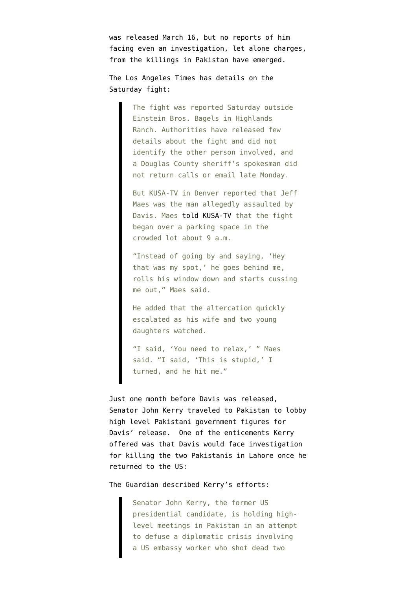was [released March 16](http://my.firedoglake.com/jimwhite/2011/03/16/raymond-davis-freed-after-payment-of-blood-money/), but no reports of him facing even an investigation, let alone charges, from the killings in Pakistan have emerged.

The Los Angeles Times has [details on the](http://latimesblogs.latimes.com/nationnow/2011/10/colorado-prosecutors-upgrade-assault-charge-against-cia-contractor-.html) [Saturday fight](http://latimesblogs.latimes.com/nationnow/2011/10/colorado-prosecutors-upgrade-assault-charge-against-cia-contractor-.html):

> The fight was reported Saturday outside Einstein Bros. Bagels in Highlands Ranch. Authorities have released few details about the fight and did not identify the other person involved, and a Douglas County sheriff's spokesman did not return calls or email late Monday.

> But KUSA-TV in Denver reported that Jeff Maes was the man allegedly assaulted by Davis. Maes [told KUSA-TV](http://www.9news.com/news/story.aspx?storyid=222634&catid=222) that the fight began over a parking space in the crowded lot about 9 a.m.

> "Instead of going by and saying, 'Hey that was my spot,' he goes behind me, rolls his window down and starts cussing me out," Maes said.

He added that the altercation quickly escalated as his wife and two young daughters watched.

"I said, 'You need to relax,' " Maes said. "I said, 'This is stupid,' I turned, and he hit me."

Just one month before Davis was released, [Senator John Kerry traveled to Pakistan](http://www.guardian.co.uk/world/2011/feb/16/raymond-davis-john-kerry) to lobby high level Pakistani government figures for Davis' release. One of the enticements Kerry offered was that Davis would face investigation for killing the two Pakistanis in Lahore once he returned to the US:

The Guardian described Kerry's efforts:

Senator John Kerry, the former US presidential candidate, is holding highlevel meetings in Pakistan in an attempt to defuse a diplomatic crisis involving a US embassy worker who shot dead two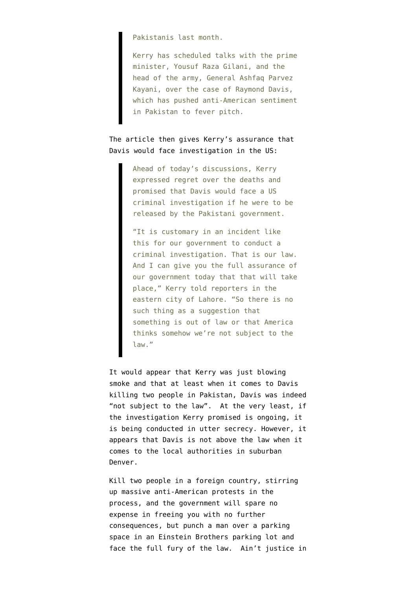Pakistanis last month.

Kerry has scheduled talks with the prime minister, Yousuf Raza Gilani, and the head of the army, General Ashfaq Parvez Kayani, over the case of Raymond Davis, which has pushed anti-American sentiment in Pakistan to fever pitch.

## The article then gives Kerry's assurance that Davis would face investigation in the US:

Ahead of today's discussions, Kerry expressed regret over the deaths and promised that Davis would face a US criminal investigation if he were to be released by the Pakistani government.

"It is customary in an incident like this for our government to conduct a criminal investigation. That is our law. And I can give you the full assurance of our government today that that will take place," Kerry told reporters in the eastern city of Lahore. "So there is no such thing as a suggestion that something is out of law or that America thinks somehow we're not subject to the law."

It would appear that Kerry was just blowing smoke and that at least when it comes to Davis killing two people in Pakistan, Davis was indeed "not subject to the law". At the very least, if the investigation Kerry promised is ongoing, it is being conducted in utter secrecy. However, it appears that Davis is not above the law when it comes to the local authorities in suburban Denver.

Kill two people in a foreign country, stirring up massive anti-American protests in the process, and the government will spare no expense in freeing you with no further consequences, but punch a man over a parking space in an Einstein Brothers parking lot and face the full fury of the law. Ain't justice in